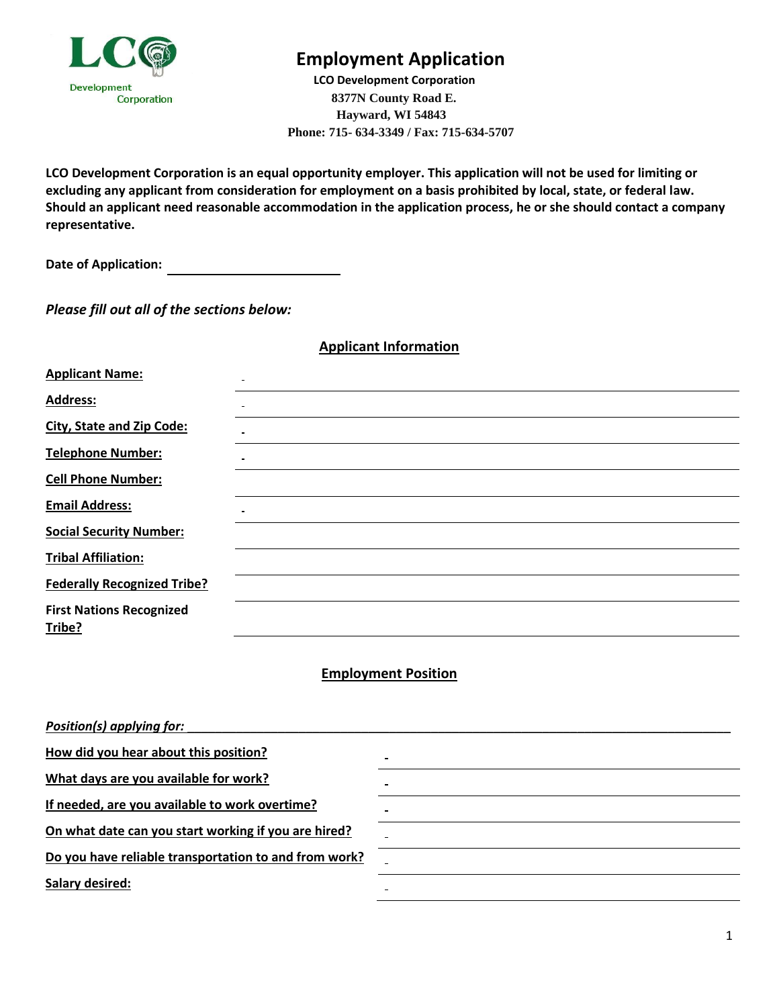

# **Employment Application**

 **LCO Development Corporation 8377N County Road E. Hayward, WI 54843 Phone: 715- 634-3349 / Fax: 715-634-5707**

**LCO Development Corporation is an equal opportunity employer. This application will not be used for limiting or excluding any applicant from consideration for employment on a basis prohibited by local, state, or federal law. Should an applicant need reasonable accommodation in the application process, he or she should contact a company representative.**

**Date of Application:** 

*Please fill out all of the sections below:*

| <b>Applicant Information</b> |
|------------------------------|
|------------------------------|

| <b>Applicant Name:</b>             |  |
|------------------------------------|--|
| <b>Address:</b>                    |  |
| <b>City, State and Zip Code:</b>   |  |
| <b>Telephone Number:</b>           |  |
| <b>Cell Phone Number:</b>          |  |
| <b>Email Address:</b>              |  |
| <b>Social Security Number:</b>     |  |
| <b>Tribal Affiliation:</b>         |  |
| <b>Federally Recognized Tribe?</b> |  |
| <b>First Nations Recognized</b>    |  |
| Tribe?                             |  |

#### **Employment Position**

| Position(s) applying for:                             |  |
|-------------------------------------------------------|--|
| How did you hear about this position?                 |  |
| What days are you available for work?                 |  |
| If needed, are you available to work overtime?        |  |
| On what date can you start working if you are hired?  |  |
| Do you have reliable transportation to and from work? |  |
| <b>Salary desired:</b>                                |  |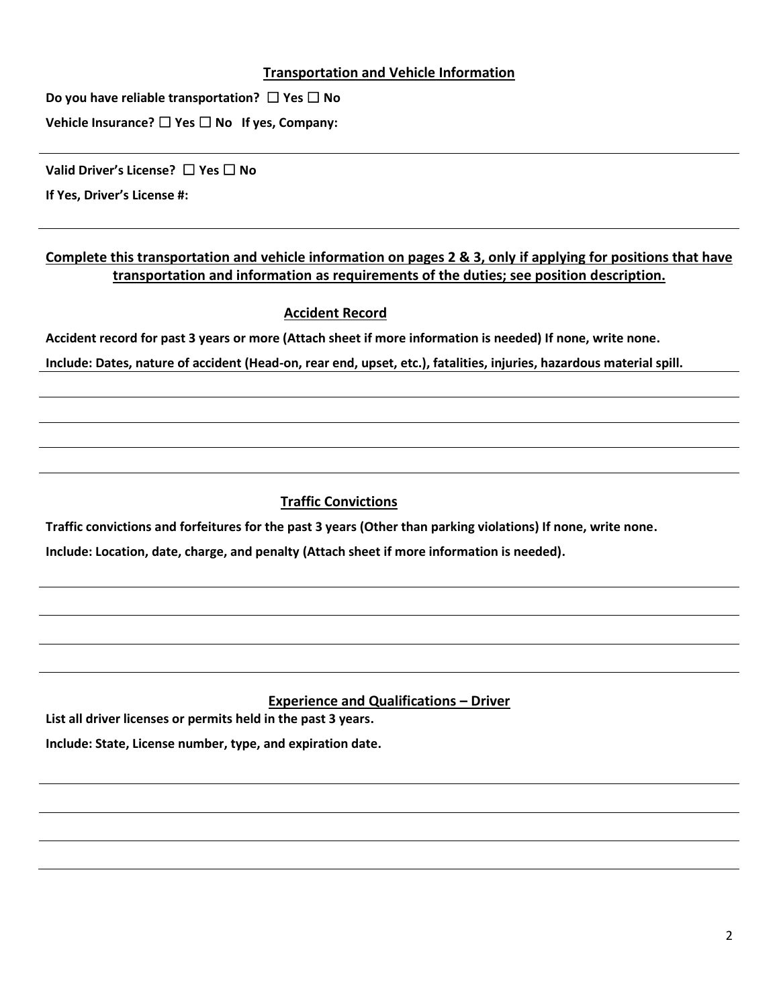#### **Transportation and Vehicle Information**

**Do you have reliable transportation?** ☐ **Yes** ☐ **No**

**Vehicle Insurance?** ☐ **Yes** ☐ **No If yes, Company:** 

**Valid Driver's License?** ☐ **Yes** ☐ **No** 

**If Yes, Driver's License #:**

### **Complete this transportation and vehicle information on pages 2 & 3, only if applying for positions that have transportation and information as requirements of the duties; see position description.**

#### **Accident Record**

**Accident record for past 3 years or more (Attach sheet if more information is needed) If none, write none.**

**Include: Dates, nature of accident (Head-on, rear end, upset, etc.), fatalities, injuries, hazardous material spill.**

## **Traffic Convictions**

**Traffic convictions and forfeitures for the past 3 years (Other than parking violations) If none, write none.**

**Include: Location, date, charge, and penalty (Attach sheet if more information is needed).**

### **Experience and Qualifications – Driver**

**List all driver licenses or permits held in the past 3 years.**

**Include: State, License number, type, and expiration date.**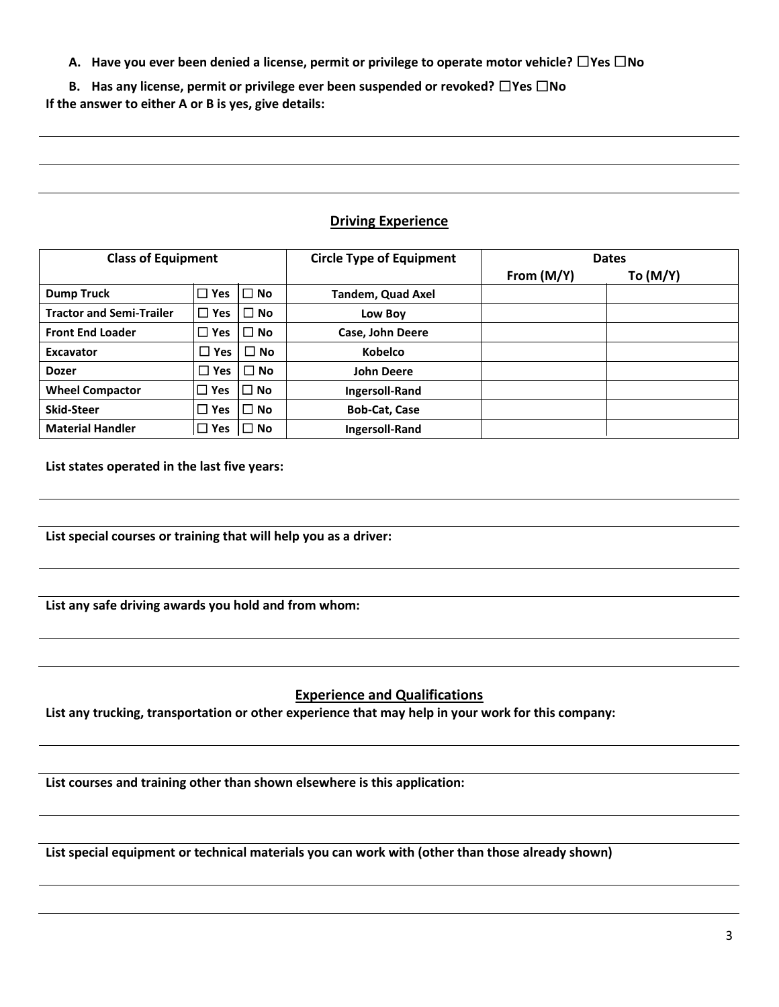**A. Have you ever been denied a license, permit or privilege to operate motor vehicle?** ☐**Yes** ☐**No** 

**B. Has any license, permit or privilege ever been suspended or revoked?** ☐**Yes** ☐**No If the answer to either A or B is yes, give details:**

#### **Driving Experience**

| <b>Class of Equipment</b>       |               | <b>Circle Type of Equipment</b> | <b>Dates</b>             |            |          |
|---------------------------------|---------------|---------------------------------|--------------------------|------------|----------|
|                                 |               |                                 |                          | From (M/Y) | To (M/Y) |
| <b>Dump Truck</b>               | ,□ Yes        | $\Box$ No                       | <b>Tandem, Quad Axel</b> |            |          |
| <b>Tractor and Semi-Trailer</b> | . □ Yes       | $\Box$ No                       | Low Boy                  |            |          |
| <b>Front End Loader</b>         | П<br>Yes      | $\Box$ No                       | Case, John Deere         |            |          |
| <b>Excavator</b>                | $\square$ Yes | $\Box$<br><b>No</b>             | <b>Kobelco</b>           |            |          |
| <b>Dozer</b>                    | l Yes         | $\square$ No                    | <b>John Deere</b>        |            |          |
| <b>Wheel Compactor</b>          | ∣□ Yes        | $\Box$ No                       | <b>Ingersoll-Rand</b>    |            |          |
| <b>Skid-Steer</b>               | പ് Yes        | $\Box$ No                       | <b>Bob-Cat, Case</b>     |            |          |
| <b>Material Handler</b>         | ∣□ Yes        | $\square$ No                    | <b>Ingersoll-Rand</b>    |            |          |

**List states operated in the last five years:**

**List special courses or training that will help you as a driver:** 

**List any safe driving awards you hold and from whom:**

### **Experience and Qualifications**

**List any trucking, transportation or other experience that may help in your work for this company:**

**List courses and training other than shown elsewhere is this application:** 

**List special equipment or technical materials you can work with (other than those already shown)**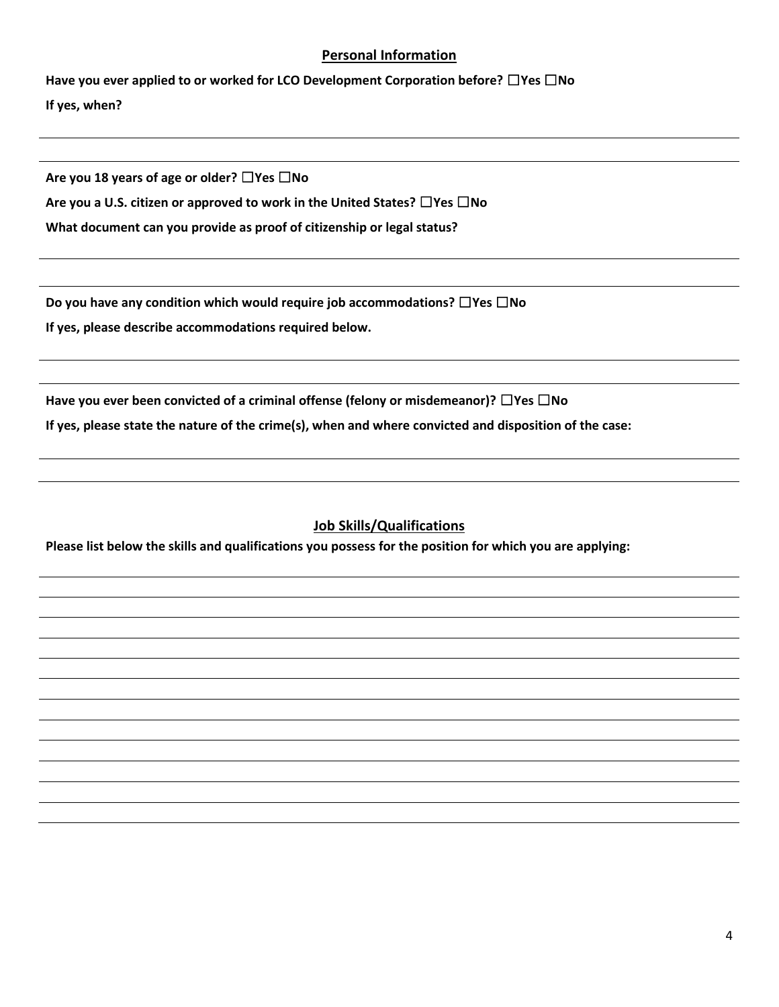#### **Personal Information**

**Have you ever applied to or worked for LCO Development Corporation before?** ☐**Yes** ☐**No If yes, when?**

**Are you 18 years of age or older?** ☐**Yes** ☐**No** 

**Are you a U.S. citizen or approved to work in the United States?** ☐**Yes** ☐**No** 

**What document can you provide as proof of citizenship or legal status?**

**Do you have any condition which would require job accommodations?** ☐**Yes** ☐**No** 

**If yes, please describe accommodations required below.**

**Have you ever been convicted of a criminal offense (felony or misdemeanor)?** ☐**Yes** ☐**No If yes, please state the nature of the crime(s), when and where convicted and disposition of the case:**

### **Job Skills/Qualifications**

**Please list below the skills and qualifications you possess for the position for which you are applying:**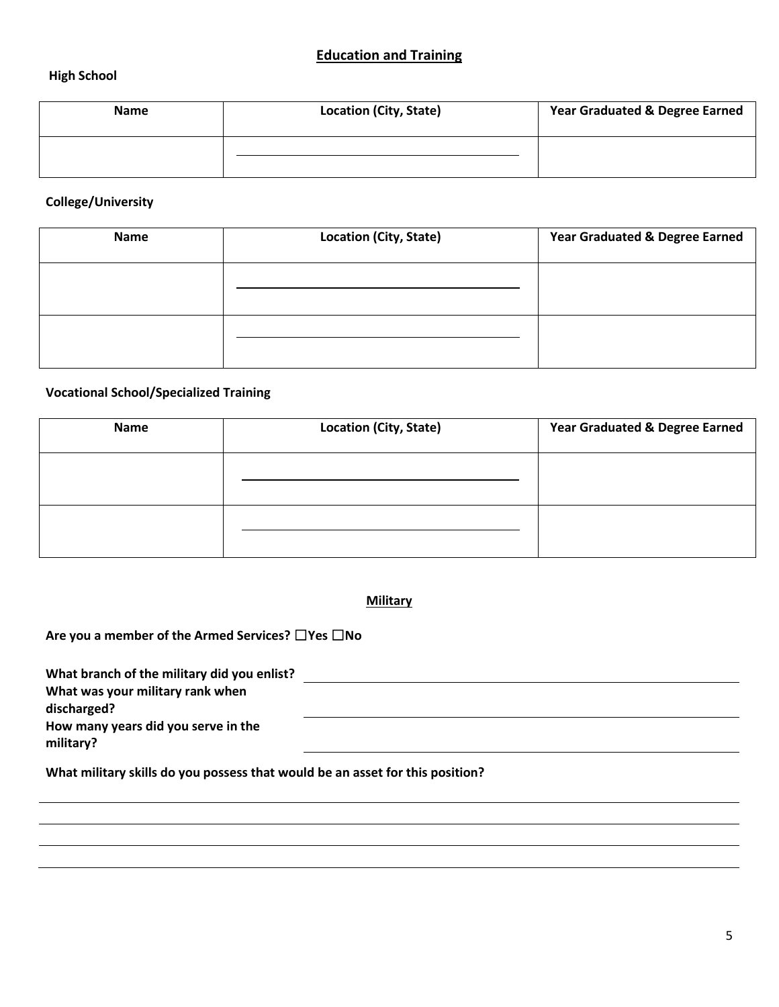#### **High School**

| <b>Name</b> | <b>Location (City, State)</b> | <b>Year Graduated &amp; Degree Earned</b> |
|-------------|-------------------------------|-------------------------------------------|
|             |                               |                                           |

#### **College/University**

| <b>Name</b> | <b>Location (City, State)</b> | <b>Year Graduated &amp; Degree Earned</b> |
|-------------|-------------------------------|-------------------------------------------|
|             |                               |                                           |
|             |                               |                                           |

## **Vocational School/Specialized Training**

| Name | <b>Location (City, State)</b> | <b>Year Graduated &amp; Degree Earned</b> |
|------|-------------------------------|-------------------------------------------|
|      |                               |                                           |
|      |                               |                                           |

#### **Military**

**Are you a member of the Armed Services?** ☐**Yes** ☐**No**

| What branch of the military did you enlist? |  |
|---------------------------------------------|--|
| What was your military rank when            |  |
| discharged?                                 |  |
| How many years did you serve in the         |  |
| military?                                   |  |
|                                             |  |

**What military skills do you possess that would be an asset for this position?**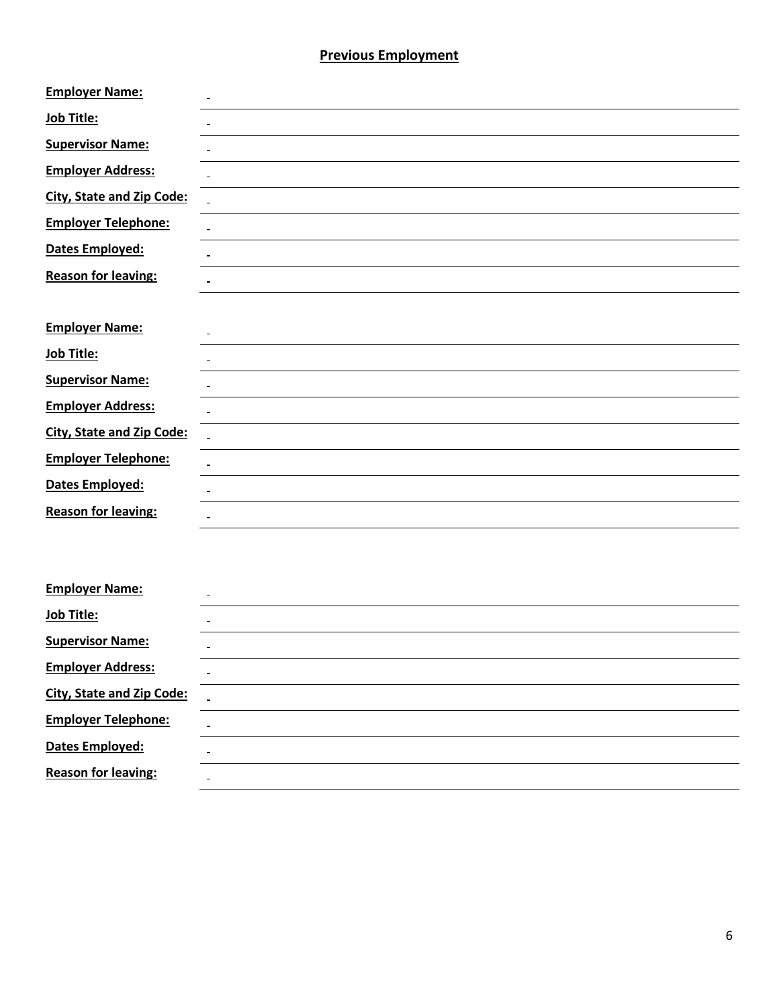#### **Previous Employment**

| <b>Employer Name:</b>            |              |
|----------------------------------|--------------|
| Job Title:                       |              |
| <b>Supervisor Name:</b>          |              |
| <b>Employer Address:</b>         |              |
| <b>City, State and Zip Code:</b> | $\mathbf{r}$ |
| <b>Employer Telephone:</b>       |              |
| Dates Employed:                  |              |
| <b>Reason for leaving:</b>       |              |
|                                  |              |
| <b>Employer Name:</b>            |              |
| Job Title:                       |              |
| <b>Supervisor Name:</b>          |              |
| <b>Employer Address:</b>         |              |
| <b>City, State and Zip Code:</b> |              |
| <b>Employer Telephone:</b>       |              |
| Dates Employed:                  |              |
| <b>Reason for leaving:</b>       |              |
|                                  |              |
|                                  |              |

| <b>Employer Name:</b>            | $\overline{\phantom{a}}$ |
|----------------------------------|--------------------------|
| Job Title:                       |                          |
| <b>Supervisor Name:</b>          |                          |
| <b>Employer Address:</b>         |                          |
| <b>City, State and Zip Code:</b> |                          |
| <b>Employer Telephone:</b>       |                          |
| Dates Employed:                  | $\sim$                   |
| <b>Reason for leaving:</b>       |                          |
|                                  |                          |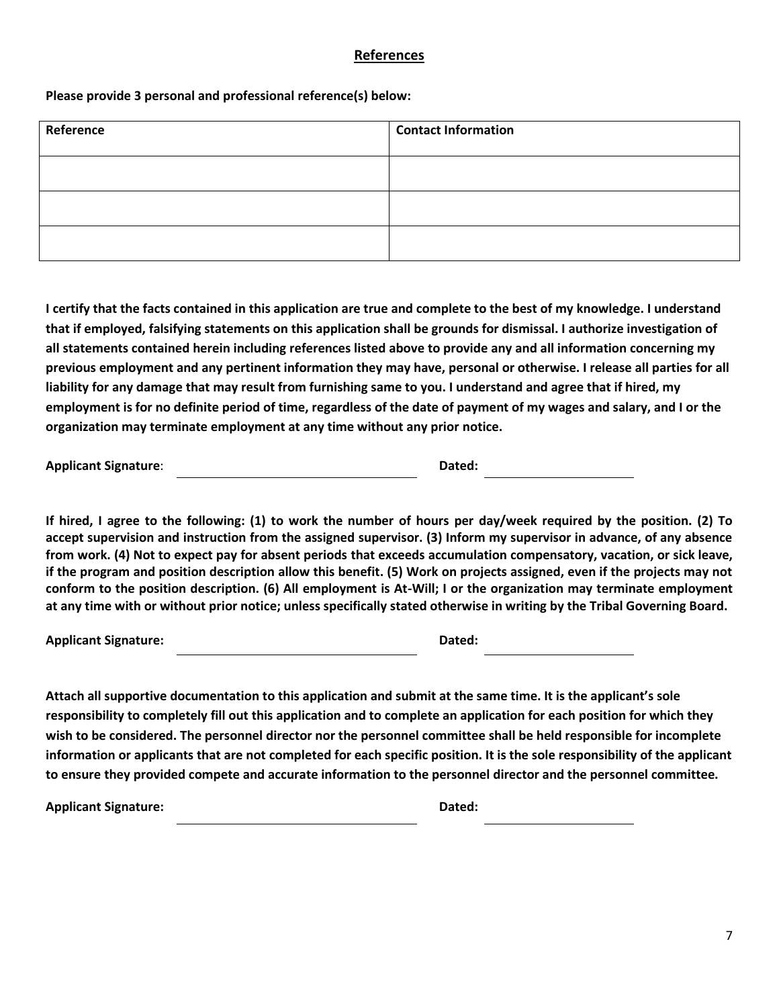#### **References**

#### **Please provide 3 personal and professional reference(s) below:**

| Reference | <b>Contact Information</b> |
|-----------|----------------------------|
|           |                            |
|           |                            |
|           |                            |

**I certify that the facts contained in this application are true and complete to the best of my knowledge. I understand that if employed, falsifying statements on this application shall be grounds for dismissal. I authorize investigation of all statements contained herein including references listed above to provide any and all information concerning my previous employment and any pertinent information they may have, personal or otherwise. I release all parties for all liability for any damage that may result from furnishing same to you. I understand and agree that if hired, my employment is for no definite period of time, regardless of the date of payment of my wages and salary, and I or the organization may terminate employment at any time without any prior notice.** 

**Applicant Signature: Dated: Dated: Dated: Dated: Dated: Dated: Dated: Dated: Dated: Dated: Dated: Dated: Dated: Dated: Dated: Dated: Dated: Dated: Dated: Dated: Dated: Dated:**

**If hired, I agree to the following: (1) to work the number of hours per day/week required by the position. (2) To accept supervision and instruction from the assigned supervisor. (3) Inform my supervisor in advance, of any absence from work. (4) Not to expect pay for absent periods that exceeds accumulation compensatory, vacation, or sick leave, if the program and position description allow this benefit. (5) Work on projects assigned, even if the projects may not conform to the position description. (6) All employment is At-Will; I or the organization may terminate employment at any time with or without prior notice; unless specifically stated otherwise in writing by the Tribal Governing Board.** 

**Applicant Signature: Dated:**

**Attach all supportive documentation to this application and submit at the same time. It is the applicant's sole responsibility to completely fill out this application and to complete an application for each position for which they wish to be considered. The personnel director nor the personnel committee shall be held responsible for incomplete information or applicants that are not completed for each specific position. It is the sole responsibility of the applicant to ensure they provided compete and accurate information to the personnel director and the personnel committee.** 

Applicant Signature: **Dated: Dated: Dated: Dated: Dated: Dated: Dated: Dated: Dated: Dated: Dated: Dated: Dated: Dated: Dated: Dated: Dated: Dated: Dated: Dated: Dated: Dated: Da**